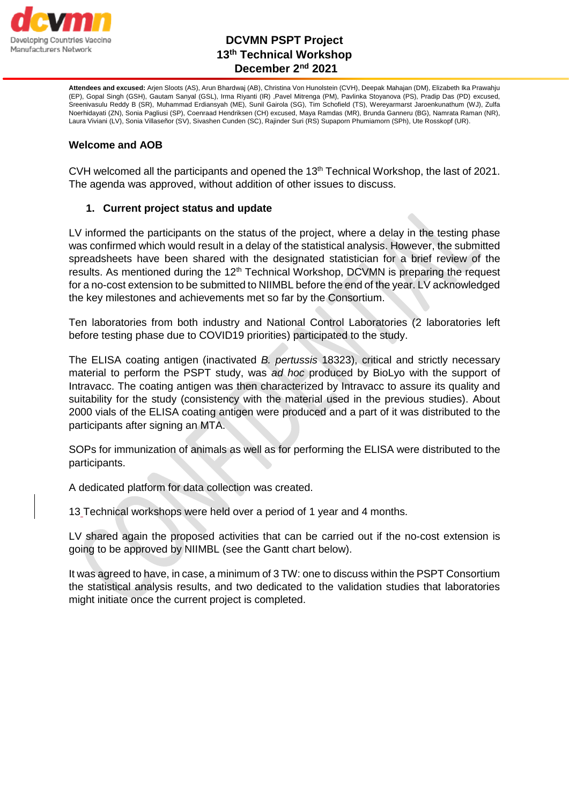

# **DCVMN PSPT Project 13th Technical Workshop December 2nd 2021**

**Attendees and excused:** Arjen Sloots (AS), Arun Bhardwaj (AB), Christina Von Hunolstein (CVH), Deepak Mahajan (DM), Elizabeth Ika Prawahju (EP), Gopal Singh (GSH), Gautam Sanyal (GSL), Irma Riyanti (IR) ,Pavel Mitrenga (PM), Pavlinka Stoyanova (PS), Pradip Das (PD) excused, Sreenivasulu Reddy B (SR), Muhammad Erdiansyah (ME), Sunil Gairola (SG), Tim Schofield (TS), Wereyarmarst Jaroenkunathum (WJ), Zulfa Noerhidayati (ZN), Sonia Pagliusi (SP), Coenraad Hendriksen (CH) excused, Maya Ramdas (MR), Brunda Ganneru (BG), Namrata Raman (NR), Laura Viviani (LV), Sonia Villaseñor (SV), Sivashen Cunden (SC), Rajinder Suri (RS) Supaporn Phumiamorn (SPh), Ute Rosskopf (UR).

### **Welcome and AOB**

CVH welcomed all the participants and opened the 13th Technical Workshop, the last of 2021. The agenda was approved, without addition of other issues to discuss.

### **1. Current project status and update**

LV informed the participants on the status of the project, where a delay in the testing phase was confirmed which would result in a delay of the statistical analysis. However, the submitted spreadsheets have been shared with the designated statistician for a brief review of the results. As mentioned during the 12<sup>th</sup> Technical Workshop, DCVMN is preparing the request for a no-cost extension to be submitted to NIIMBL before the end of the year. LV acknowledged the key milestones and achievements met so far by the Consortium.

Ten laboratories from both industry and National Control Laboratories (2 laboratories left before testing phase due to COVID19 priorities) participated to the study.

The ELISA coating antigen (inactivated *B. pertussis* 18323), critical and strictly necessary material to perform the PSPT study, was *ad hoc* produced by BioLyo with the support of Intravacc. The coating antigen was then characterized by Intravacc to assure its quality and suitability for the study (consistency with the material used in the previous studies). About 2000 vials of the ELISA coating antigen were produced and a part of it was distributed to the participants after signing an MTA.

SOPs for immunization of animals as well as for performing the ELISA were distributed to the participants.

A dedicated platform for data collection was created.

13 Technical workshops were held over a period of 1 year and 4 months.

LV shared again the proposed activities that can be carried out if the no-cost extension is going to be approved by NIIMBL (see the Gantt chart below).

It was agreed to have, in case, a minimum of 3 TW: one to discuss within the PSPT Consortium the statistical analysis results, and two dedicated to the validation studies that laboratories might initiate once the current project is completed.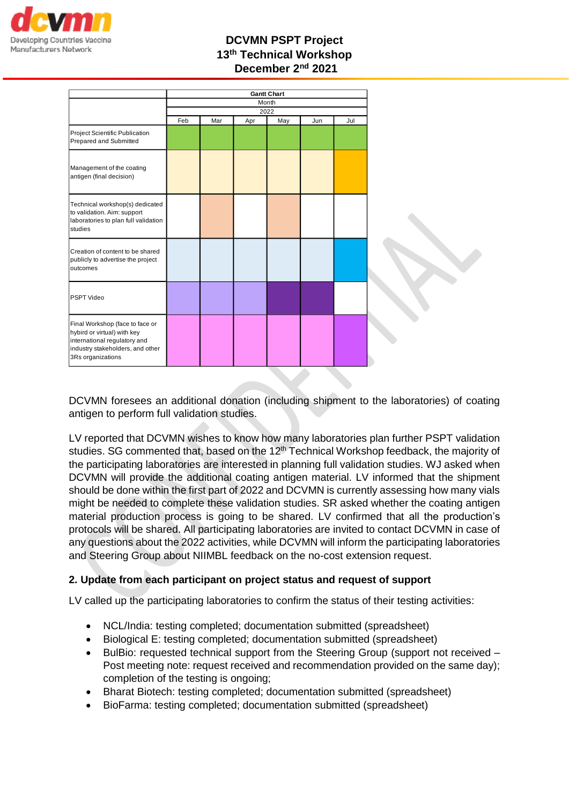

# **DCVMN PSPT Project 13th Technical Workshop December 2nd 2021**

|                                                                                                                                                         | <b>Gantt Chart</b><br>Month<br>2022 |     |     |     |     |     |  |
|---------------------------------------------------------------------------------------------------------------------------------------------------------|-------------------------------------|-----|-----|-----|-----|-----|--|
|                                                                                                                                                         |                                     |     |     |     |     |     |  |
|                                                                                                                                                         |                                     |     |     |     |     |     |  |
|                                                                                                                                                         | Feb                                 | Mar | Apr | May | Jun | Jul |  |
| Project Scientific Publication<br>Prepared and Submitted                                                                                                |                                     |     |     |     |     |     |  |
| Management of the coating<br>antigen (final decision)                                                                                                   |                                     |     |     |     |     |     |  |
| Technical workshop(s) dedicated<br>to validation. Aim: support<br>laboratories to plan full validation<br>studies                                       |                                     |     |     |     |     |     |  |
| Creation of content to be shared<br>publicly to advertise the project<br>outcomes                                                                       |                                     |     |     |     |     |     |  |
| PSPT Video                                                                                                                                              |                                     |     |     |     |     |     |  |
| Final Workshop (face to face or<br>hybird or virtual) with key<br>international regulatory and<br>industry stakeholders, and other<br>3Rs organizations |                                     |     |     |     |     |     |  |

DCVMN foresees an additional donation (including shipment to the laboratories) of coating antigen to perform full validation studies.

LV reported that DCVMN wishes to know how many laboratories plan further PSPT validation studies. SG commented that, based on the  $12<sup>th</sup>$  Technical Workshop feedback, the majority of the participating laboratories are interested in planning full validation studies. WJ asked when DCVMN will provide the additional coating antigen material. LV informed that the shipment should be done within the first part of 2022 and DCVMN is currently assessing how many vials might be needed to complete these validation studies. SR asked whether the coating antigen material production process is going to be shared. LV confirmed that all the production's protocols will be shared. All participating laboratories are invited to contact DCVMN in case of any questions about the 2022 activities, while DCVMN will inform the participating laboratories and Steering Group about NIIMBL feedback on the no-cost extension request.

### **2. Update from each participant on project status and request of support**

LV called up the participating laboratories to confirm the status of their testing activities:

- NCL/India: testing completed; documentation submitted (spreadsheet)
- Biological E: testing completed; documentation submitted (spreadsheet)
- BulBio: requested technical support from the Steering Group (support not received Post meeting note: request received and recommendation provided on the same day); completion of the testing is ongoing;
- Bharat Biotech: testing completed; documentation submitted (spreadsheet)
- BioFarma: testing completed; documentation submitted (spreadsheet)